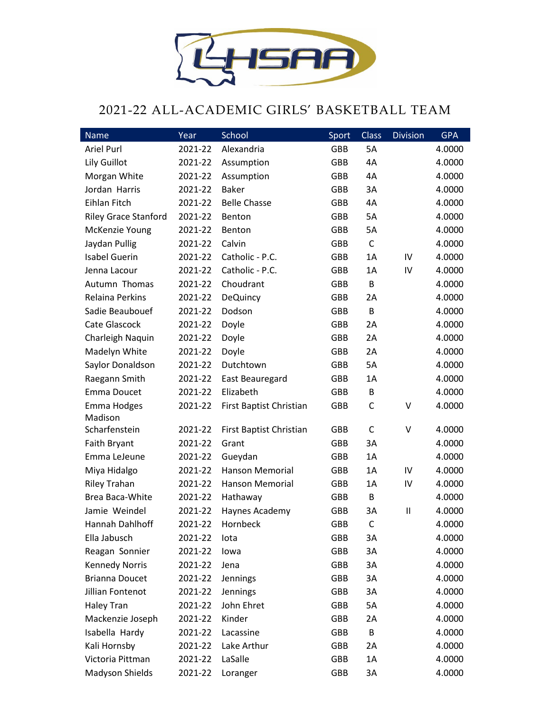

## 2021-22 ALL-ACADEMIC GIRLS' BASKETBALL TEAM

| Name                        | Year    | School                  | Sport      | <b>Class</b> | <b>Division</b> | <b>GPA</b> |
|-----------------------------|---------|-------------------------|------------|--------------|-----------------|------------|
| Ariel Purl                  | 2021-22 | Alexandria              | <b>GBB</b> | 5A           |                 | 4.0000     |
| Lily Guillot                | 2021-22 | Assumption              | <b>GBB</b> | 4A           |                 | 4.0000     |
| Morgan White                | 2021-22 | Assumption              | GBB        | 4A           |                 | 4.0000     |
| Jordan Harris               | 2021-22 | <b>Baker</b>            | <b>GBB</b> | 3A           |                 | 4.0000     |
| Eihlan Fitch                | 2021-22 | <b>Belle Chasse</b>     | <b>GBB</b> | 4A           |                 | 4.0000     |
| <b>Riley Grace Stanford</b> | 2021-22 | Benton                  | <b>GBB</b> | 5A           |                 | 4.0000     |
| McKenzie Young              | 2021-22 | <b>Benton</b>           | <b>GBB</b> | 5A           |                 | 4.0000     |
| Jaydan Pullig               | 2021-22 | Calvin                  | <b>GBB</b> | $\mathsf{C}$ |                 | 4.0000     |
| <b>Isabel Guerin</b>        | 2021-22 | Catholic - P.C.         | <b>GBB</b> | 1A           | IV              | 4.0000     |
| Jenna Lacour                | 2021-22 | Catholic - P.C.         | <b>GBB</b> | 1A           | IV              | 4.0000     |
| Autumn Thomas               | 2021-22 | Choudrant               | <b>GBB</b> | B            |                 | 4.0000     |
| <b>Relaina Perkins</b>      | 2021-22 | <b>DeQuincy</b>         | <b>GBB</b> | 2A           |                 | 4.0000     |
| Sadie Beaubouef             | 2021-22 | Dodson                  | <b>GBB</b> | B            |                 | 4.0000     |
| Cate Glascock               | 2021-22 | Doyle                   | <b>GBB</b> | 2A           |                 | 4.0000     |
| Charleigh Naquin            | 2021-22 | Doyle                   | <b>GBB</b> | 2A           |                 | 4.0000     |
| Madelyn White               | 2021-22 | Doyle                   | <b>GBB</b> | 2A           |                 | 4.0000     |
| Saylor Donaldson            | 2021-22 | Dutchtown               | <b>GBB</b> | <b>5A</b>    |                 | 4.0000     |
| Raegann Smith               | 2021-22 | East Beauregard         | <b>GBB</b> | 1A           |                 | 4.0000     |
| Emma Doucet                 | 2021-22 | Elizabeth               | <b>GBB</b> | B            |                 | 4.0000     |
| Emma Hodges                 | 2021-22 | First Baptist Christian | <b>GBB</b> | $\mathsf C$  | V               | 4.0000     |
| Madison                     |         |                         |            |              |                 |            |
| Scharfenstein               | 2021-22 | First Baptist Christian | <b>GBB</b> | C            | V               | 4.0000     |
| <b>Faith Bryant</b>         | 2021-22 | Grant                   | <b>GBB</b> | 3A           |                 | 4.0000     |
| Emma LeJeune                | 2021-22 | Gueydan                 | <b>GBB</b> | 1A           |                 | 4.0000     |
| Miya Hidalgo                | 2021-22 | <b>Hanson Memorial</b>  | <b>GBB</b> | 1A           | IV              | 4.0000     |
| <b>Riley Trahan</b>         | 2021-22 | <b>Hanson Memorial</b>  | <b>GBB</b> | 1A           | IV              | 4.0000     |
| Brea Baca-White             | 2021-22 | Hathaway                | <b>GBB</b> | B            |                 | 4.0000     |
| Jamie Weindel               | 2021-22 | Haynes Academy          | GBB        | 3A           | $\mathbf{H}$    | 4.0000     |
| Hannah Dahlhoff             | 2021-22 | Hornbeck                | GBB        | $\mathsf C$  |                 | 4.0000     |
| Ella Jabusch                | 2021-22 | lota                    | GBB        | 3A           |                 | 4.0000     |
| Reagan Sonnier              | 2021-22 | lowa                    | GBB        | 3A           |                 | 4.0000     |
| <b>Kennedy Norris</b>       | 2021-22 | Jena                    | GBB        | 3A           |                 | 4.0000     |
| <b>Brianna Doucet</b>       | 2021-22 | Jennings                | GBB        | 3A           |                 | 4.0000     |
| Jillian Fontenot            | 2021-22 | Jennings                | GBB        | 3A           |                 | 4.0000     |
| Haley Tran                  | 2021-22 | John Ehret              | GBB        | 5A           |                 | 4.0000     |
| Mackenzie Joseph            | 2021-22 | Kinder                  | GBB        | 2A           |                 | 4.0000     |
| Isabella Hardy              | 2021-22 | Lacassine               | GBB        | B            |                 | 4.0000     |
| Kali Hornsby                | 2021-22 | Lake Arthur             | GBB        | 2A           |                 | 4.0000     |
| Victoria Pittman            | 2021-22 | LaSalle                 | GBB        | 1A           |                 | 4.0000     |
| Madyson Shields             | 2021-22 | Loranger                | GBB        | 3A           |                 | 4.0000     |